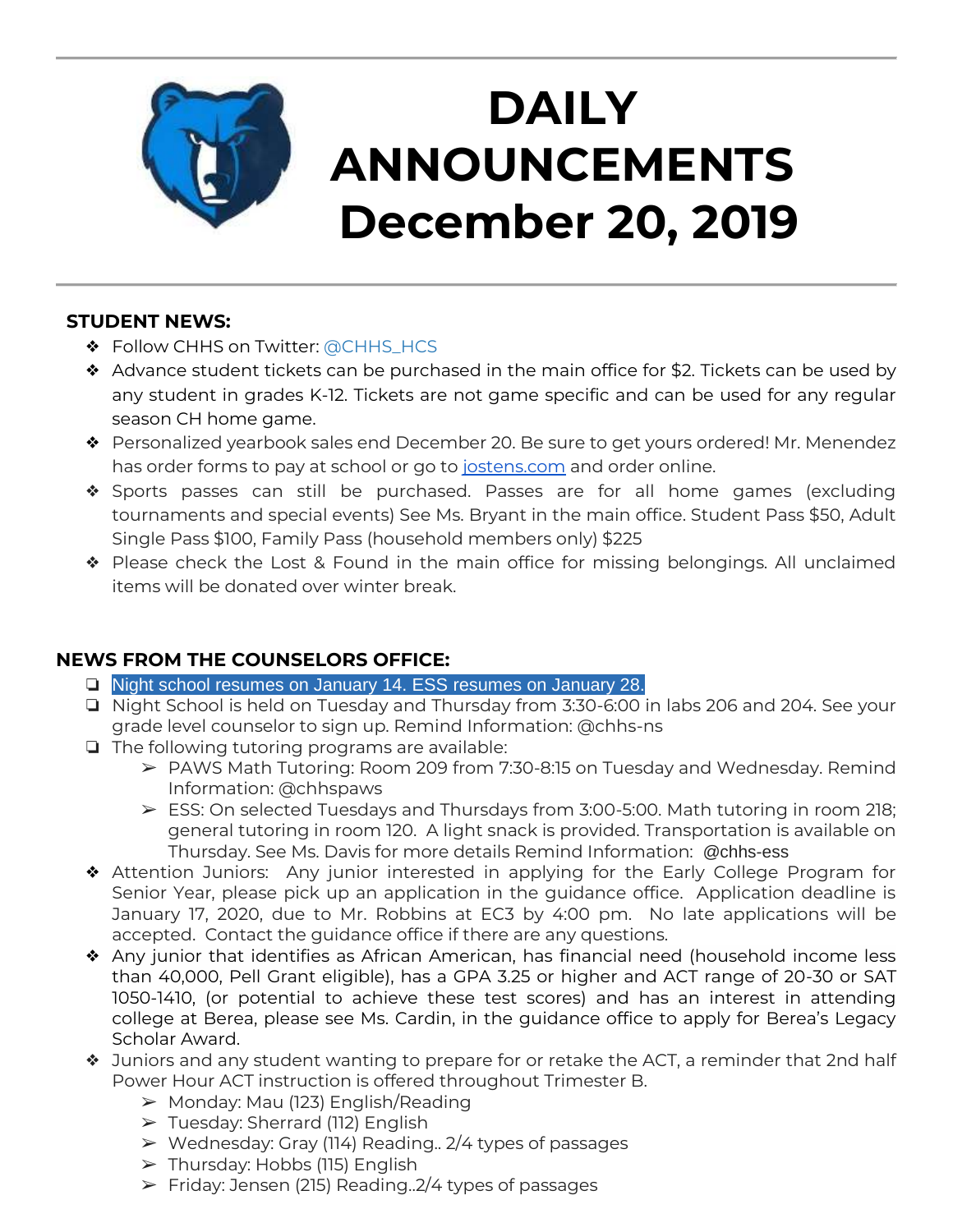

# **DAILY ANNOUNCEMENTS December 20, 2019**

#### **STUDENT NEWS:**

- ❖ Follow CHHS on Twitter: [@CHHS\\_HCS](https://twitter.com/CHHS_HCS)
- ❖ Advance student tickets can be purchased in the main office for \$2. Tickets can be used by any student in grades K-12. Tickets are not game specific and can be used for any regular season CH home game.
- ❖ Personalized yearbook sales end December 20. Be sure to get yours ordered! Mr. Menendez has order forms to pay at school or go to [jostens.com](http://jostens.com/) and order online.
- ❖ Sports passes can still be purchased. Passes are for all home games (excluding tournaments and special events) See Ms. Bryant in the main office. Student Pass \$50, Adult Single Pass \$100, Family Pass (household members only) \$225
- ❖ Please check the Lost & Found in the main office for missing belongings. All unclaimed items will be donated over winter break.

## **NEWS FROM THE COUNSELORS OFFICE:**

- ❏ Night school resumes on January 14. ESS resumes on January 28.
- ❏ Night School is held on Tuesday and Thursday from 3:30-6:00 in labs 206 and 204. See your grade level counselor to sign up. Remind Information: @chhs-ns
- ❏ The following tutoring programs are available:
	- ➢ PAWS Math Tutoring: Room 209 from 7:30-8:15 on Tuesday and Wednesday. Remind Information: @chhspaws
	- ➢ ESS: On selected Tuesdays and Thursdays from 3:00-5:00. Math tutoring in room 218; general tutoring in room 120. A light snack is provided. Transportation is available on Thursday. See Ms. Davis for more details Remind Information: @chhs-ess
- ❖ Attention Juniors: Any junior interested in applying for the Early College Program for Senior Year, please pick up an application in the guidance office. Application deadline is January 17, 2020, due to Mr. Robbins at EC3 by 4:00 pm. No late applications will be accepted. Contact the guidance office if there are any questions.
- ❖ Any junior that identifies as African American, has financial need (household income less than 40,000, Pell Grant eligible), has a GPA 3.25 or higher and ACT range of 20-30 or SAT 1050-1410, (or potential to achieve these test scores) and has an interest in attending college at Berea, please see Ms. Cardin, in the guidance office to apply for Berea's Legacy Scholar Award.
- ❖ Juniors and any student wanting to prepare for or retake the ACT, a reminder that 2nd half Power Hour ACT instruction is offered throughout Trimester B.
	- ➢ Monday: Mau (123) English/Reading
	- ➢ Tuesday: Sherrard (112) English
	- ➢ Wednesday: Gray (114) Reading.. 2/4 types of passages
	- $\triangleright$  Thursday: Hobbs (115) English
	- $\triangleright$  Friday: Jensen (215) Reading.  $2/4$  types of passages